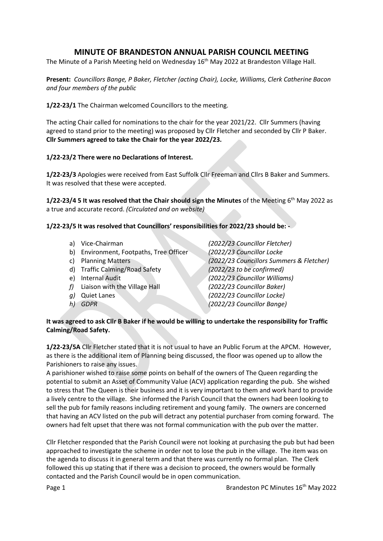# **MINUTE OF BRANDESTON ANNUAL PARISH COUNCIL MEETING**

The Minute of a Parish Meeting held on Wednesday 16<sup>th</sup> May 2022 at Brandeston Village Hall.

**Present:** *Councillors Bange, P Baker, Fletcher (acting Chair), Locke, Williams, Clerk Catherine Bacon and four members of the public*

**1/22-23/1** The Chairman welcomed Councillors to the meeting.

The acting Chair called for nominations to the chair for the year 2021/22. Cllr Summers (having agreed to stand prior to the meeting) was proposed by Cllr Fletcher and seconded by Cllr P Baker. **Cllr Summers agreed to take the Chair for the year 2022/23.**

#### **1/22-23/2 There were no Declarations of Interest.**

**1/22-23/3** Apologies were received from East Suffolk Cllr Freeman and Cllrs B Baker and Summers. It was resolved that these were accepted.

1/22-23/4 5 It was resolved that the Chair should sign the Minutes of the Meeting 6<sup>th</sup> May 2022 as a true and accurate record. *(Circulated and on website)*

### **1/22-23/5 It was resolved that Councillors' responsibilities for 2022/23 should be: -**

- 
- b) Environment, Footpaths, Tree Officer *(2022/23 Councillor Locke*
- 
- d) Traffic Calming/Road Safety *(2022/23 to be confirmed)*
- 
- *f)* Liaison with the Village Hall *(2022/23 Councillor Baker)*
- 
- 

a) Vice-Chairman *(2022/23 Councillor Fletcher)* c) Planning Matters *(2022/23 Councillors Summers & Fletcher)* e) Internal Audit *(2022/23 Councillor Williams) g)* Quiet Lanes *(2022/23 Councillor Locke) h) GDPR (2022/23 Councillor Bange)*

#### **It was agreed to ask Cllr B Baker if he would be willing to undertake the responsibility for Traffic Calming/Road Safety.**

**1/22-23/5A** Cllr Fletcher stated that it is not usual to have an Public Forum at the APCM. However, as there is the additional item of Planning being discussed, the floor was opened up to allow the Parishioners to raise any issues.

A parishioner wished to raise some points on behalf of the owners of The Queen regarding the potential to submit an Asset of Community Value (ACV) application regarding the pub. She wished to stress that The Queen is their business and it is very important to them and work hard to provide a lively centre to the village. She informed the Parish Council that the owners had been looking to sell the pub for family reasons including retirement and young family. The owners are concerned that having an ACV listed on the pub will detract any potential purchaser from coming forward. The owners had felt upset that there was not formal communication with the pub over the matter.

Cllr Fletcher responded that the Parish Council were not looking at purchasing the pub but had been approached to investigate the scheme in order not to lose the pub in the village. The item was on the agenda to discuss it in general term and that there was currently no formal plan. The Clerk followed this up stating that if there was a decision to proceed, the owners would be formally contacted and the Parish Council would be in open communication.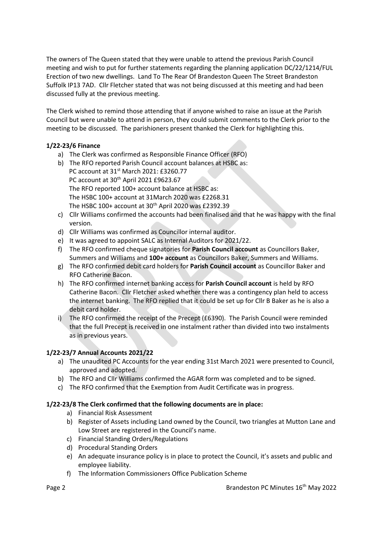The owners of The Queen stated that they were unable to attend the previous Parish Council meeting and wish to put for further statements regarding the planning application DC/22/1214/FUL Erection of two new dwellings. Land To The Rear Of Brandeston Queen The Street Brandeston Suffolk IP13 7AD. Cllr Fletcher stated that was not being discussed at this meeting and had been discussed fully at the previous meeting.

The Clerk wished to remind those attending that if anyone wished to raise an issue at the Parish Council but were unable to attend in person, they could submit comments to the Clerk prior to the meeting to be discussed. The parishioners present thanked the Clerk for highlighting this.

## **1/22-23/6 Finance**

- a) The Clerk was confirmed as Responsible Finance Officer (RFO)
- b) The RFO reported Parish Council account balances at HSBC as: PC account at 31<sup>st</sup> March 2021: £3260.77 PC account at 30th April 2021 £9623.67 The RFO reported 100+ account balance at HSBC as: The HSBC 100+ account at 31March 2020 was £2268.31 The HSBC 100+ account at  $30<sup>th</sup>$  April 2020 was £2392.39
- c) Cllr Williams confirmed the accounts had been finalised and that he was happy with the final version.
- d) Cllr Williams was confirmed as Councillor internal auditor.
- e) It was agreed to appoint SALC as Internal Auditors for 2021/22.
- f) The RFO confirmed cheque signatories for **Parish Council account** as Councillors Baker, Summers and Williams and **100+ account** as Councillors Baker, Summers and Williams.
- g) The RFO confirmed debit card holders for **Parish Council account** as Councillor Baker and RFO Catherine Bacon.
- h) The RFO confirmed internet banking access for **Parish Council account** is held by RFO Catherine Bacon. Cllr Fletcher asked whether there was a contingency plan held to access the internet banking. The RFO replied that it could be set up for Cllr B Baker as he is also a debit card holder.
- i) The RFO confirmed the receipt of the Precept (£6390). The Parish Council were reminded that the full Precept is received in one instalment rather than divided into two instalments as in previous years.

## **1/22-23/7 Annual Accounts 2021/22**

- a) The unaudited PC Accounts for the year ending 31st March 2021 were presented to Council, approved and adopted.
- b) The RFO and Cllr Williams confirmed the AGAR form was completed and to be signed.
- c) The RFO confirmed that the Exemption from Audit Certificate was in progress.

### **1/22-23/8 The Clerk confirmed that the following documents are in place:**

- a) Financial Risk Assessment
- b) Register of Assets including Land owned by the Council, two triangles at Mutton Lane and Low Street are registered in the Council's name.
- c) Financial Standing Orders/Regulations
- d) Procedural Standing Orders
- e) An adequate insurance policy is in place to protect the Council, it's assets and public and employee liability.
- f) The Information Commissioners Office Publication Scheme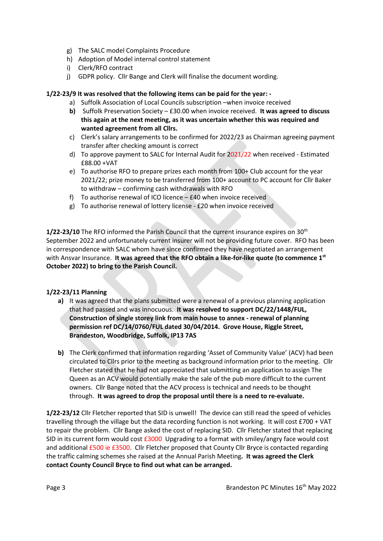- g) The SALC model Complaints Procedure
- h) Adoption of Model internal control statement
- i) Clerk/RFO contract
- j) GDPR policy. Cllr Bange and Clerk will finalise the document wording.

#### **1/22-23/9 It was resolved that the following items can be paid for the year: -**

- a) Suffolk Association of Local Councils subscription –when invoice received
- **b)** Suffolk Preservation Society £30.00 when invoice received. **It was agreed to discuss this again at the next meeting, as it was uncertain whether this was required and wanted agreement from all Cllrs.**
- c) Clerk's salary arrangements to be confirmed for 2022/23 as Chairman agreeing payment transfer after checking amount is correct
- d) To approve payment to SALC for Internal Audit for 2021/22 when received Estimated £88.00 +VAT
- e) To authorise RFO to prepare prizes each month from 100+ Club account for the year 2021/22; prize money to be transferred from 100+ account to PC account for Cllr Baker to withdraw – confirming cash withdrawals with RFO
- f) To authorise renewal of ICO licence £40 when invoice received
- g) To authorise renewal of lottery license £20 when invoice received

1/22-23/10 The RFO informed the Parish Council that the current insurance expires on 30<sup>th</sup> September 2022 and unfortunately current insurer will not be providing future cover. RFO has been in correspondence with SALC whom have since confirmed they have negotiated an arrangement with Ansvar Insurance. **It was agreed that the RFO obtain a like-for-like quote (to commence 1st October 2022) to bring to the Parish Council.**

#### **1/22-23/11 Planning**

- **a)** It was agreed that the plans submitted were a renewal of a previous planning application that had passed and was innocuous. **It was resolved to support DC/22/1448/FUL, Construction of single storey link from main house to annex - renewal of planning permission ref DC/14/0760/FUL dated 30/04/2014. Grove House, Riggle Street, Brandeston, Woodbridge, Suffolk, IP13 7AS**
- **b)** The Clerk confirmed that information regarding 'Asset of Community Value' (ACV) had been circulated to Cllrs prior to the meeting as background information prior to the meeting. Cllr Fletcher stated that he had not appreciated that submitting an application to assign The Queen as an ACV would potentially make the sale of the pub more difficult to the current owners. Cllr Bange noted that the ACV process is technical and needs to be thought through. **It was agreed to drop the proposal until there is a need to re-evaluate.**

**1/22-23/12** Cllr Fletcher reported that SID is unwell! The device can still read the speed of vehicles travelling through the village but the data recording function is not working. It will cost £700 + VAT to repair the problem. Cllr Bange asked the cost of replacing SID. Cllr Fletcher stated that replacing SID in its current form would cost  $£3000$  Upgrading to a format with smiley/angry face would cost and additional £500 ie £3500. Cllr Fletcher proposed that County Cllr Bryce is contacted regarding the traffic calming schemes she raised at the Annual Parish Meeting**. It was agreed the Clerk contact County Council Bryce to find out what can be arranged.**